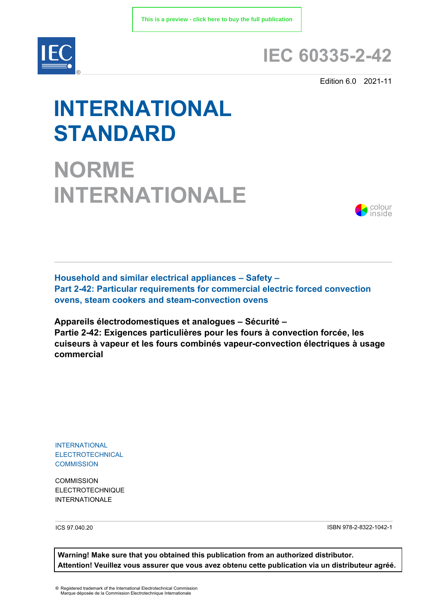

# **IEC 60335-2-42**

Edition 6.0 2021-11

# **INTERNATIONAL STANDARD**

**NORME INTERNATIONALE**



**Household and similar electrical appliances – Safety – Part 2-42: Particular requirements for commercial electric forced convection ovens, steam cookers and steam-convection ovens** 

**Appareils électrodomestiques et analogues – Sécurité – Partie 2-42: Exigences particulières pour les fours à convection forcée, les cuiseurs à vapeur et les fours combinés vapeur-convection électriques à usage commercial** 

INTERNATIONAL **ELECTROTECHNICAL COMMISSION** 

**COMMISSION** ELECTROTECHNIQUE INTERNATIONALE

ICS 97.040.20 ISBN 978-2-8322-1042-1

**Warning! Make sure that you obtained this publication from an authorized distributor. Attention! Veuillez vous assurer que vous avez obtenu cette publication via un distributeur agréé.**

® Registered trademark of the International Electrotechnical Commission Marque déposée de la Commission Electrotechnique Internationale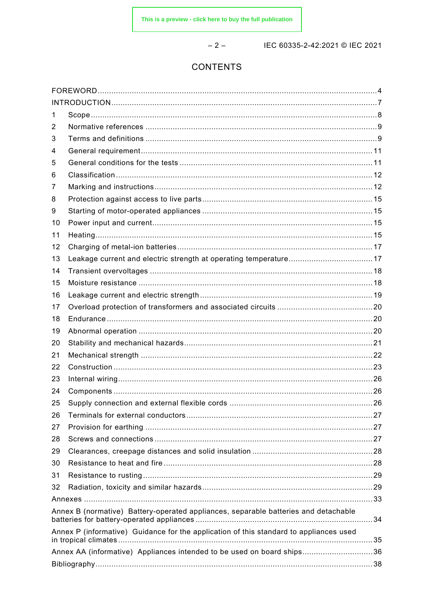$-2-$ 

IEC 60335-2-42:2021 © IEC 2021

# **CONTENTS**

| 1                                                                      |                                                                                        |  |
|------------------------------------------------------------------------|----------------------------------------------------------------------------------------|--|
| 2                                                                      |                                                                                        |  |
| 3                                                                      |                                                                                        |  |
| 4                                                                      |                                                                                        |  |
| 5                                                                      |                                                                                        |  |
| 6                                                                      |                                                                                        |  |
| 7                                                                      |                                                                                        |  |
| 8                                                                      |                                                                                        |  |
| 9                                                                      |                                                                                        |  |
| 10                                                                     |                                                                                        |  |
| 11                                                                     |                                                                                        |  |
| 12                                                                     |                                                                                        |  |
| 13                                                                     |                                                                                        |  |
| 14                                                                     |                                                                                        |  |
| 15                                                                     |                                                                                        |  |
| 16                                                                     |                                                                                        |  |
| 17                                                                     |                                                                                        |  |
| 18                                                                     |                                                                                        |  |
| 19                                                                     |                                                                                        |  |
| 20                                                                     |                                                                                        |  |
| 21                                                                     |                                                                                        |  |
| 22                                                                     |                                                                                        |  |
| 23                                                                     |                                                                                        |  |
| 24                                                                     |                                                                                        |  |
| 25                                                                     |                                                                                        |  |
| 26                                                                     |                                                                                        |  |
| 27                                                                     |                                                                                        |  |
| 28                                                                     |                                                                                        |  |
| 29                                                                     |                                                                                        |  |
| 30                                                                     |                                                                                        |  |
| 31                                                                     |                                                                                        |  |
| 32                                                                     |                                                                                        |  |
|                                                                        |                                                                                        |  |
|                                                                        | Annex B (normative) Battery-operated appliances, separable batteries and detachable    |  |
|                                                                        | Annex P (informative) Guidance for the application of this standard to appliances used |  |
| Annex AA (informative) Appliances intended to be used on board ships36 |                                                                                        |  |
|                                                                        |                                                                                        |  |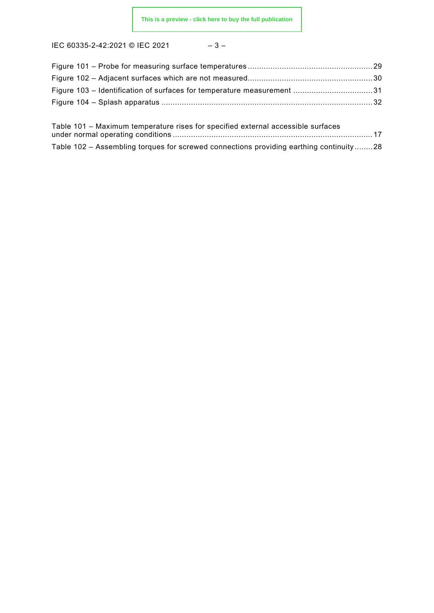IEC 60335-2-42:2021 © IEC 2021 – 3 –

| Figure 103 – Identification of surfaces for temperature measurement 31 |  |
|------------------------------------------------------------------------|--|
|                                                                        |  |

| Table 101 – Maximum temperature rises for specified external accessible surfaces       |  |
|----------------------------------------------------------------------------------------|--|
|                                                                                        |  |
| Table 102 – Assembling torques for screwed connections providing earthing continuity28 |  |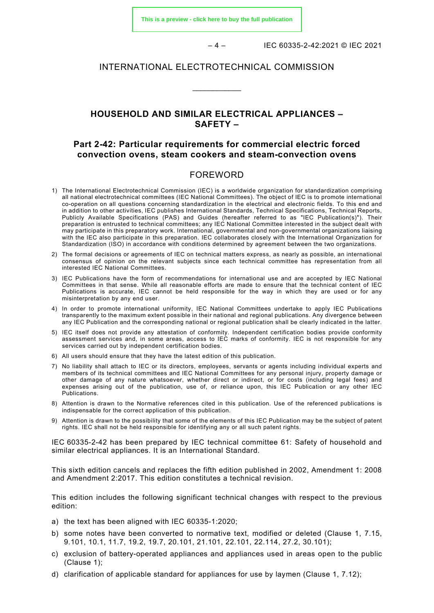**[This is a preview - click here to buy the full publication](https://webstore.iec.ch/publication/67830&preview)**

– 4 – IEC 60335-2-42:2021 © IEC 2021

#### INTERNATIONAL ELECTROTECHNICAL COMMISSION

\_\_\_\_\_\_\_\_\_\_\_\_

# **HOUSEHOLD AND SIMILAR ELECTRICAL APPLIANCES – SAFETY –**

#### **Part 2-42: Particular requirements for commercial electric forced convection ovens, steam cookers and steam-convection ovens**

#### FOREWORD

- <span id="page-3-0"></span>1) The International Electrotechnical Commission (IEC) is a worldwide organization for standardization comprising all national electrotechnical committees (IEC National Committees). The object of IEC is to promote international co-operation on all questions concerning standardization in the electrical and electronic fields. To this end and in addition to other activities, IEC publishes International Standards, Technical Specifications, Technical Reports, Publicly Available Specifications (PAS) and Guides (hereafter referred to as "IEC Publication(s)"). Their preparation is entrusted to technical committees; any IEC National Committee interested in the subject dealt with may participate in this preparatory work. International, governmental and non-governmental organizations liaising with the IEC also participate in this preparation. IEC collaborates closely with the International Organization for Standardization (ISO) in accordance with conditions determined by agreement between the two organizations.
- 2) The formal decisions or agreements of IEC on technical matters express, as nearly as possible, an international consensus of opinion on the relevant subjects since each technical committee has representation from all interested IEC National Committees.
- 3) IEC Publications have the form of recommendations for international use and are accepted by IEC National Committees in that sense. While all reasonable efforts are made to ensure that the technical content of IEC Publications is accurate, IEC cannot be held responsible for the way in which they are used or for any misinterpretation by any end user.
- 4) In order to promote international uniformity, IEC National Committees undertake to apply IEC Publications transparently to the maximum extent possible in their national and regional publications. Any divergence between any IEC Publication and the corresponding national or regional publication shall be clearly indicated in the latter.
- 5) IEC itself does not provide any attestation of conformity. Independent certification bodies provide conformity assessment services and, in some areas, access to IEC marks of conformity. IEC is not responsible for any services carried out by independent certification bodies.
- 6) All users should ensure that they have the latest edition of this publication.
- 7) No liability shall attach to IEC or its directors, employees, servants or agents including individual experts and members of its technical committees and IEC National Committees for any personal injury, property damage or other damage of any nature whatsoever, whether direct or indirect, or for costs (including legal fees) and expenses arising out of the publication, use of, or reliance upon, this IEC Publication or any other IEC Publications.
- 8) Attention is drawn to the Normative references cited in this publication. Use of the referenced publications is indispensable for the correct application of this publication.
- 9) Attention is drawn to the possibility that some of the elements of this IEC Publication may be the subject of patent rights. IEC shall not be held responsible for identifying any or all such patent rights.

IEC 60335-2-42 has been prepared by IEC technical committee 61: Safety of household and similar electrical appliances. It is an International Standard.

This sixth edition cancels and replaces the fifth edition published in 2002, Amendment 1: 2008 and Amendment 2:2017. This edition constitutes a technical revision.

This edition includes the following significant technical changes with respect to the previous edition:

- a) the text has been aligned with IEC 60335-1:2020;
- b) some notes have been converted to normative text, modified or deleted (Clause 1, 7.15, 9.101, 10.1, 11.7, 19.2, 19.7, 20.101, 21.101, 22.101, 22.114, 27.2, 30.101);
- c) exclusion of battery-operated appliances and appliances used in areas open to the public (Clause 1);
- d) clarification of applicable standard for appliances for use by laymen (Clause 1, 7.12);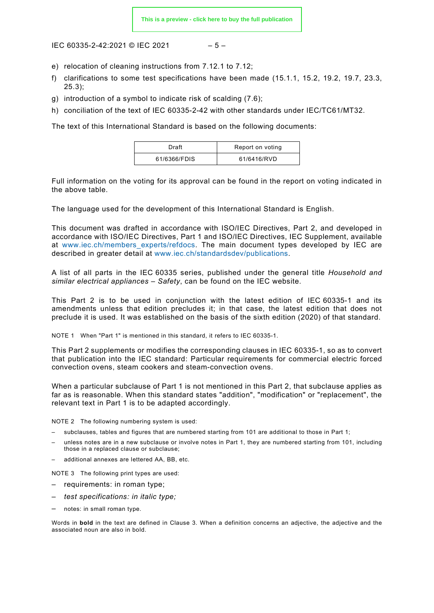IEC 60335-2-42:2021 © IEC 2021 – 5 –

- e) relocation of cleaning instructions from 7.12.1 to 7.12;
- f) clarifications to some test specifications have been made (15.1.1, 15.2, 19.2, 19.7, 23.3, 25.3);
- g) introduction of a symbol to indicate risk of scalding (7.6);
- h) conciliation of the text of IEC 60335-2-42 with other standards under IEC/TC61/MT32.

The text of this International Standard is based on the following documents:

| Draft        | Report on voting |
|--------------|------------------|
| 61/6366/FDIS | 61/6416/RVD      |

Full information on the voting for its approval can be found in the report on voting indicated in the above table.

The language used for the development of this International Standard is English.

This document was drafted in accordance with ISO/IEC Directives, Part 2, and developed in accordance with ISO/IEC Directives, Part 1 and ISO/IEC Directives, IEC Supplement, available at www.iec.ch/members experts/refdocs. The main document types developed by IEC are described in greater detail at [www.iec.ch/standardsdev/publications.](http://www.iec.ch/standardsdev/publications)

A list of all parts in the IEC 60335 series, published under the general title *Household and similar electrical appliances – Safety*, can be found on the IEC website.

This Part 2 is to be used in conjunction with the latest edition of IEC 60335-1 and its amendments unless that edition precludes it; in that case, the latest edition that does not preclude it is used. It was established on the basis of the sixth edition (2020) of that standard.

NOTE 1 When "Part 1" is mentioned in this standard, it refers to IEC 60335-1.

This Part 2 supplements or modifies the corresponding clauses in IEC 60335-1, so as to convert that publication into the IEC standard: Particular requirements for commercial electric forced convection ovens, steam cookers and steam-convection ovens.

When a particular subclause of Part 1 is not mentioned in this Part 2, that subclause applies as far as is reasonable. When this standard states "addition", "modification" or "replacement", the relevant text in Part 1 is to be adapted accordingly.

NOTE 2 The following numbering system is used:

- subclauses, tables and figures that are numbered starting from 101 are additional to those in Part 1;
- unless notes are in a new subclause or involve notes in Part 1, they are numbered starting from 101, including those in a replaced clause or subclause;
- additional annexes are lettered AA, BB, etc.

NOTE 3 The following print types are used:

- requirements: in roman type;
- *test specifications: in italic type;*
- notes: in small roman type.

Words in **bold** in the text are defined in Clause 3. When a definition concerns an adjective, the adjective and the associated noun are also in bold.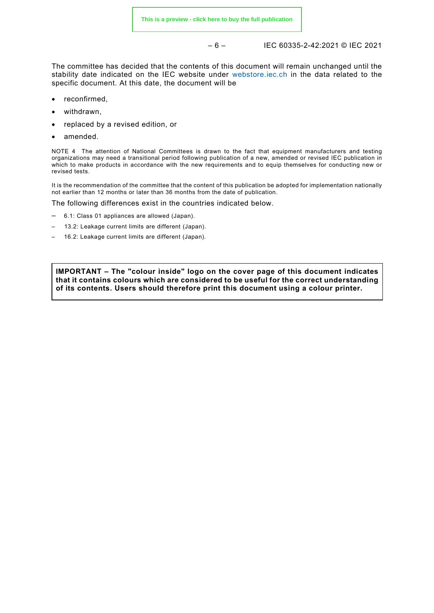– 6 – IEC 60335-2-42:2021 © IEC 2021

The committee has decided that the contents of this document will remain unchanged until the stability date indicated on the IEC website under [webstore.iec.ch](https://webstore.iec.ch/?ref=menu) in the data related to the specific document. At this date, the document will be

- reconfirmed,
- withdrawn,
- replaced by a revised edition, or
- amended.

NOTE 4 The attention of National Committees is drawn to the fact that equipment manufacturers and testing organizations may need a transitional period following publication of a new, amended or revised IEC publication in which to make products in accordance with the new requirements and to equip themselves for conducting new or revised tests.

It is the recommendation of the committee that the content of this publication be adopted for implementation nationally not earlier than 12 months or later than 36 months from the date of publication.

The following differences exist in the countries indicated below.

- 6.1: Class 01 appliances are allowed (Japan).
- 13.2: Leakage current limits are different (Japan).
- 16.2: Leakage current limits are different (Japan).

**IMPORTANT – The "colour inside" logo on the cover page of this document indicates that it contains colours which are considered to be useful for the correct understanding of its contents. Users should therefore print this document using a colour printer.**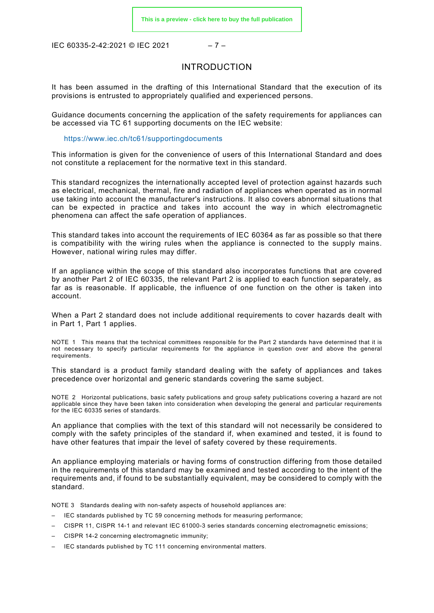<span id="page-6-0"></span>IEC 60335-2-42:2021 © IEC 2021 – 7 –

#### INTRODUCTION

It has been assumed in the drafting of this International Standard that the execution of its provisions is entrusted to appropriately qualified and experienced persons.

Guidance documents concerning the application of the safety requirements for appliances can be accessed via TC 61 supporting documents on the IEC website:

#### <https://www.iec.ch/tc61/supportingdocuments>

This information is given for the convenience of users of this International Standard and does not constitute a replacement for the normative text in this standard.

This standard recognizes the internationally accepted level of protection against hazards such as electrical, mechanical, thermal, fire and radiation of appliances when operated as in normal use taking into account the manufacturer's instructions. It also covers abnormal situations that can be expected in practice and takes into account the way in which electromagnetic phenomena can affect the safe operation of appliances.

This standard takes into account the requirements of IEC 60364 as far as possible so that there is compatibility with the wiring rules when the appliance is connected to the supply mains. However, national wiring rules may differ.

If an appliance within the scope of this standard also incorporates functions that are covered by another Part 2 of IEC 60335, the relevant Part 2 is applied to each function separately, as far as is reasonable. If applicable, the influence of one function on the other is taken into account.

When a Part 2 standard does not include additional requirements to cover hazards dealt with in Part 1, Part 1 applies.

NOTE 1 This means that the technical committees responsible for the Part 2 standards have determined that it is not necessary to specify particular requirements for the appliance in question over and above the general requirements.

This standard is a product family standard dealing with the safety of appliances and takes precedence over horizontal and generic standards covering the same subject.

NOTE 2. Horizontal publications, basic safety publications and group safety publications covering a hazard are not applicable since they have been taken into consideration when developing the general and particular requirements for the IEC 60335 series of standards.

An appliance that complies with the text of this standard will not necessarily be considered to comply with the safety principles of the standard if, when examined and tested, it is found to have other features that impair the level of safety covered by these requirements.

An appliance employing materials or having forms of construction differing from those detailed in the requirements of this standard may be examined and tested according to the intent of the requirements and, if found to be substantially equivalent, may be considered to comply with the standard.

NOTE 3 Standards dealing with non-safety aspects of household appliances are:

- IEC standards published by TC 59 concerning methods for measuring performance;
- CISPR 11, CISPR 14-1 and relevant IEC 61000-3 series standards concerning electromagnetic emissions;
- CISPR 14-2 concerning electromagnetic immunity;
- IEC standards published by TC 111 concerning environmental matters.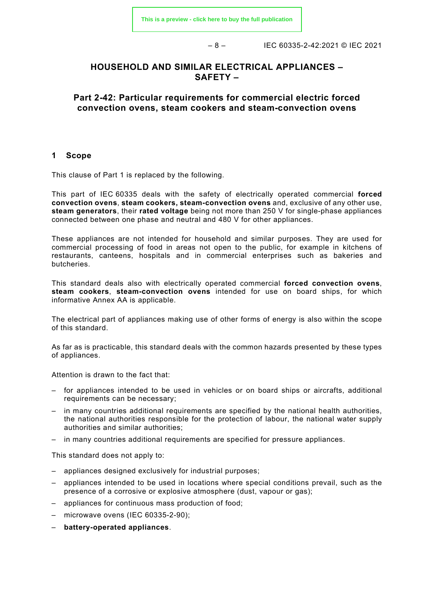– 8 – IEC 60335-2-42:2021 © IEC 2021

# **HOUSEHOLD AND SIMILAR ELECTRICAL APPLIANCES – SAFETY –**

**Part 2-42: Particular requirements for commercial electric forced convection ovens, steam cookers and steam-convection ovens**

#### <span id="page-7-0"></span>**1 Scope**

This clause of Part 1 is replaced by the following.

This part of IEC 60335 deals with the safety of electrically operated commercial **forced convection ovens**, **steam cookers, steam-convection ovens** and, exclusive of any other use, **steam generators**, their **rated voltage** being not more than 250 V for single-phase appliances connected between one phase and neutral and 480 V for other appliances.

These appliances are not intended for household and similar purposes. They are used for commercial processing of food in areas not open to the public, for example in kitchens of restaurants, canteens, hospitals and in commercial enterprises such as bakeries and butcheries.

This standard deals also with electrically operated commercial **forced convection ovens**, **steam cookers**, **steam-convection ovens** intended for use on board ships, for which informative Annex AA is applicable.

The electrical part of appliances making use of other forms of energy is also within the scope of this standard.

As far as is practicable, this standard deals with the common hazards presented by these types of appliances.

Attention is drawn to the fact that:

- for appliances intended to be used in vehicles or on board ships or aircrafts, additional requirements can be necessary;
- in many countries additional requirements are specified by the national health authorities, the national authorities responsible for the protection of labour, the national water supply authorities and similar authorities;
- in many countries additional requirements are specified for pressure appliances.

This standard does not apply to:

- appliances designed exclusively for industrial purposes;
- appliances intended to be used in locations where special conditions prevail, such as the presence of a corrosive or explosive atmosphere (dust, vapour or gas);
- appliances for continuous mass production of food;
- microwave ovens (IEC 60335-2-90);
- **battery-operated appliances**.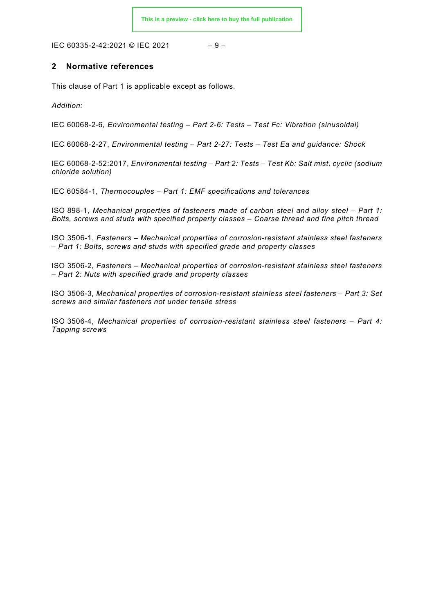IEC 60335-2-42:2021 © IEC 2021 – 9 –

# <span id="page-8-0"></span>**2 Normative references**

This clause of Part 1 is applicable except as follows.

*Addition:*

IEC 60068-2-6*, Environmental testing – Part 2-6: Tests – Test Fc: Vibration (sinusoidal)*

IEC 60068-2-27, *Environmental testing – Part 2-27: Tests – Test Ea and guidance: Shock*

IEC 60068-2-52:2017, *Environmental testing – Part 2: Tests – Test Kb: Salt mist, cyclic (sodium chloride solution)*

IEC 60584-1, *Thermocouples – Part 1: EMF specifications and tolerances* 

ISO 898-1, *Mechanical properties of fasteners made of carbon steel and alloy steel – Part 1: Bolts, screws and studs with specified property classes – Coarse thread and fine pitch thread*

ISO 3506-1, *Fasteners – Mechanical properties of corrosion-resistant stainless steel fasteners – Part 1: Bolts, screws and studs with specified grade and property classes*

ISO 3506-2, *Fasteners – Mechanical properties of corrosion-resistant stainless steel fasteners – Part 2: Nuts with specified grade and property classes*

ISO 3506-3, *Mechanical properties of corrosion-resistant stainless steel fasteners – Part 3: Set screws and similar fasteners not under tensile stress*

<span id="page-8-1"></span>ISO 3506-4, *Mechanical properties of corrosion-resistant stainless steel fasteners – Part 4: Tapping screws*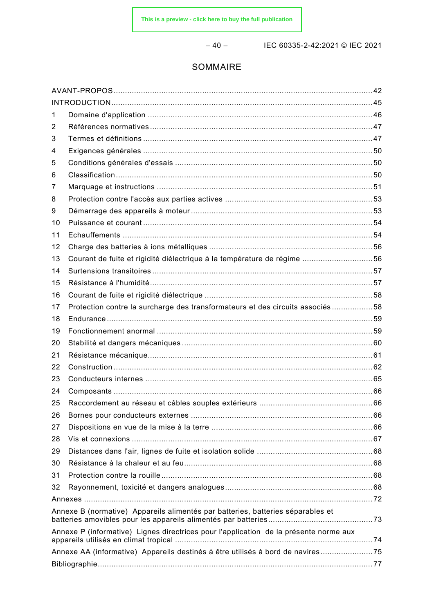$-40-$ 

IEC 60335-2-42:2021 © IEC 2021

# SOMMAIRE

| 1                                                                              |                                                                                       |  |
|--------------------------------------------------------------------------------|---------------------------------------------------------------------------------------|--|
| 2                                                                              |                                                                                       |  |
| 3                                                                              |                                                                                       |  |
| 4                                                                              |                                                                                       |  |
| 5                                                                              |                                                                                       |  |
| 6                                                                              |                                                                                       |  |
| 7                                                                              |                                                                                       |  |
| 8                                                                              |                                                                                       |  |
| 9                                                                              |                                                                                       |  |
| 10                                                                             |                                                                                       |  |
| 11                                                                             |                                                                                       |  |
| 12                                                                             |                                                                                       |  |
| 13                                                                             | Courant de fuite et rigidité diélectrique à la température de régime 56               |  |
| 14                                                                             |                                                                                       |  |
| 15                                                                             |                                                                                       |  |
| 16                                                                             |                                                                                       |  |
| 17                                                                             | Protection contre la surcharge des transformateurs et des circuits associés 58        |  |
| 18                                                                             |                                                                                       |  |
| 19                                                                             |                                                                                       |  |
| 20                                                                             |                                                                                       |  |
| 21                                                                             |                                                                                       |  |
| 22                                                                             |                                                                                       |  |
| 23                                                                             |                                                                                       |  |
| 24                                                                             |                                                                                       |  |
| 25                                                                             |                                                                                       |  |
| 26                                                                             |                                                                                       |  |
| 27                                                                             |                                                                                       |  |
| 28                                                                             |                                                                                       |  |
| 29                                                                             |                                                                                       |  |
| 30                                                                             |                                                                                       |  |
| 31                                                                             |                                                                                       |  |
| 32                                                                             |                                                                                       |  |
|                                                                                |                                                                                       |  |
|                                                                                | Annexe B (normative) Appareils alimentés par batteries, batteries séparables et       |  |
|                                                                                | Annexe P (informative) Lignes directrices pour l'application de la présente norme aux |  |
| Annexe AA (informative) Appareils destinés à être utilisés à bord de navires75 |                                                                                       |  |
|                                                                                |                                                                                       |  |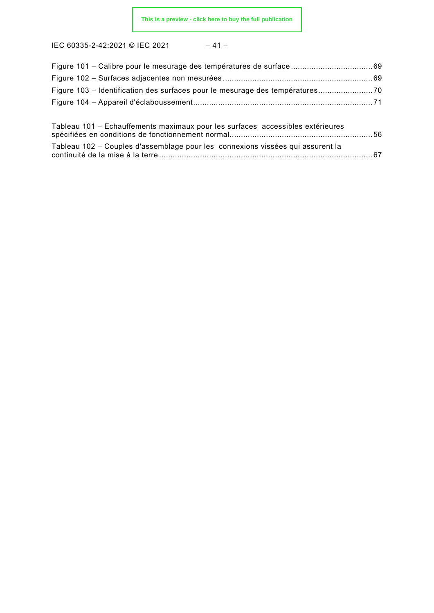IEC 60335-2-42:2021 © IEC 2021 – 41 –

| Tableau 101 - Echauffements maximaux pour les surfaces accessibles extérieures |  |
|--------------------------------------------------------------------------------|--|

| Tableau 102 - Couples d'assemblage pour les connexions vissées qui assurent la |  |
|--------------------------------------------------------------------------------|--|
|                                                                                |  |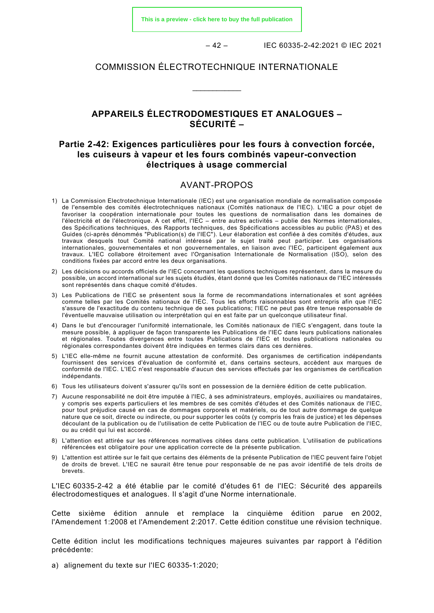**[This is a preview - click here to buy the full publication](https://webstore.iec.ch/publication/67830&preview)**

– 42 – IEC 60335-2-42:2021 © IEC 2021

#### COMMISSION ÉLECTROTECHNIQUE INTERNATIONALE

\_\_\_\_\_\_\_\_\_\_\_\_

# **APPAREILS ÉLECTRODOMESTIQUES ET ANALOGUES – SÉCURITÉ –**

# **Partie 2-42: Exigences particulières pour les fours à convection forcée, les cuiseurs à vapeur et les fours combinés vapeur-convection électriques à usage commercial**

# AVANT-PROPOS

- <span id="page-11-0"></span>1) La Commission Electrotechnique Internationale (IEC) est une organisation mondiale de normalisation composée de l'ensemble des comités électrotechniques nationaux (Comités nationaux de l'IEC). L'IEC a pour objet de favoriser la coopération internationale pour toutes les questions de normalisation dans les domaines de l'électricité et de l'électronique. A cet effet, l'IEC – entre autres activités – publie des Normes internationales, des Spécifications techniques, des Rapports techniques, des Spécifications accessibles au public (PAS) et des Guides (ci-après dénommés "Publication(s) de l'IEC"). Leur élaboration est confiée à des comités d'études, aux travaux desquels tout Comité national intéressé par le sujet traité peut participer. Les organisations internationales, gouvernementales et non gouvernementales, en liaison avec l'IEC, participent également aux travaux. L'IEC collabore étroitement avec l'Organisation Internationale de Normalisation (ISO), selon des conditions fixées par accord entre les deux organisations.
- 2) Les décisions ou accords officiels de l'IEC concernant les questions techniques représentent, dans la mesure du possible, un accord international sur les sujets étudiés, étant donné que les Comités nationaux de l'IEC intéressés sont représentés dans chaque comité d'études.
- 3) Les Publications de l'IEC se présentent sous la forme de recommandations internationales et sont agréées comme telles par les Comités nationaux de l'IEC. Tous les efforts raisonnables sont entrepris afin que l'IEC s'assure de l'exactitude du contenu technique de ses publications; l'IEC ne peut pas être tenue responsable de l'éventuelle mauvaise utilisation ou interprétation qui en est faite par un quelconque utilisateur final.
- 4) Dans le but d'encourager l'uniformité internationale, les Comités nationaux de l'IEC s'engagent, dans toute la mesure possible, à appliquer de façon transparente les Publications de l'IEC dans leurs publications nationales et régionales. Toutes divergences entre toutes Publications de l'IEC et toutes publications nationales ou régionales correspondantes doivent être indiquées en termes clairs dans ces dernières.
- 5) L'IEC elle-même ne fournit aucune attestation de conformité. Des organismes de certification indépendants fournissent des services d'évaluation de conformité et, dans certains secteurs, accèdent aux marques de conformité de l'IEC. L'IEC n'est responsable d'aucun des services effectués par les organismes de certification indépendants.
- 6) Tous les utilisateurs doivent s'assurer qu'ils sont en possession de la dernière édition de cette publication.
- 7) Aucune responsabilité ne doit être imputée à l'IEC, à ses administrateurs, employés, auxiliaires ou mandataires, y compris ses experts particuliers et les membres de ses comités d'études et des Comités nationaux de l'IEC, pour tout préjudice causé en cas de dommages corporels et matériels, ou de tout autre dommage de quelque nature que ce soit, directe ou indirecte, ou pour supporter les coûts (y compris les frais de justice) et les dépenses découlant de la publication ou de l'utilisation de cette Publication de l'IEC ou de toute autre Publication de l'IEC, ou au crédit qui lui est accordé.
- 8) L'attention est attirée sur les références normatives citées dans cette publication. L'utilisation de publications référencées est obligatoire pour une application correcte de la présente publication.
- 9) L'attention est attirée sur le fait que certains des éléments de la présente Publication de l'IEC peuvent faire l'objet de droits de brevet. L'IEC ne saurait être tenue pour responsable de ne pas avoir identifié de tels droits de brevets.

L'IEC 60335-2-42 a été établie par le comité d'études 61 de l'IEC: Sécurité des appareils électrodomestiques et analogues. Il s'agit d'une Norme internationale.

Cette sixième édition annule et remplace la cinquième édition parue en 2002, l'Amendement 1:2008 et l'Amendement 2:2017. Cette édition constitue une révision technique.

Cette édition inclut les modifications techniques majeures suivantes par rapport à l'édition précédente:

a) alignement du texte sur l'IEC 60335-1:2020;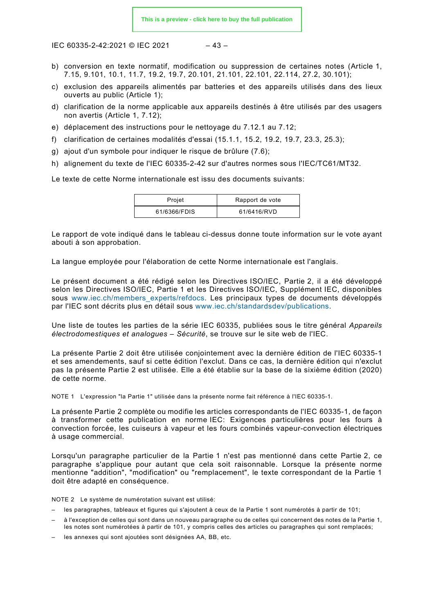IEC 60335-2-42:2021 © IEC 2021

$$
-43-
$$

- b) conversion en texte normatif, modification ou suppression de certaines notes (Article 1, 7.15, 9.101, 10.1, 11.7, 19.2, 19.7, 20.101, 21.101, 22.101, 22.114, 27.2, 30.101);
- c) exclusion des appareils alimentés par batteries et des appareils utilisés dans des lieux ouverts au public (Article 1);
- d) clarification de la norme applicable aux appareils destinés à être utilisés par des usagers non avertis (Article 1, 7.12);
- e) déplacement des instructions pour le nettoyage du 7.12.1 au 7.12;
- f) clarification de certaines modalités d'essai (15.1.1, 15.2, 19.2, 19.7, 23.3, 25.3);
- g) ajout d'un symbole pour indiquer le risque de brûlure (7.6);
- h) alignement du texte de l'IEC 60335-2-42 sur d'autres normes sous l'IEC/TC61/MT32.

Le texte de cette Norme internationale est issu des documents suivants:

| Projet       | Rapport de vote |
|--------------|-----------------|
| 61/6366/FDIS | 61/6416/RVD     |

Le rapport de vote indiqué dans le tableau ci-dessus donne toute information sur le vote ayant abouti à son approbation.

La langue employée pour l'élaboration de cette Norme internationale est l'anglais.

Le présent document a été rédigé selon les Directives ISO/IEC, Partie 2, il a été développé selon les Directives ISO/IEC, Partie 1 et les Directives ISO/IEC, Supplément IEC, disponibles sous www.iec.ch/members experts/refdocs. Les principaux types de documents développés par l'IEC sont décrits plus en détail sous [www.iec.ch/standardsdev/publications.](http://www.iec.ch/standardsdev/publications)

Une liste de toutes les parties de la série IEC 60335, publiées sous le titre général *Appareils électrodomestiques et analogues – Sécurité*, se trouve sur le site web de l'IEC.

La présente Partie 2 doit être utilisée conjointement avec la dernière édition de l'IEC 60335-1 et ses amendements, sauf si cette édition l'exclut. Dans ce cas, la dernière édition qui n'exclut pas la présente Partie 2 est utilisée. Elle a été établie sur la base de la sixième édition (2020) de cette norme.

NOTE 1 L'expression "la Partie 1" utilisée dans la présente norme fait référence à l'IEC 60335-1.

La présente Partie 2 complète ou modifie les articles correspondants de l'IEC 60335-1, de façon à transformer cette publication en norme IEC: Exigences particulières pour les fours à convection forcée, les cuiseurs à vapeur et les fours combinés vapeur-convection électriques à usage commercial.

Lorsqu'un paragraphe particulier de la Partie 1 n'est pas mentionné dans cette Partie 2, ce paragraphe s'applique pour autant que cela soit raisonnable. Lorsque la présente norme mentionne "addition", "modification" ou "remplacement", le texte correspondant de la Partie 1 doit être adapté en conséquence.

NOTE 2 Le système de numérotation suivant est utilisé:

- les paragraphes, tableaux et figures qui s'ajoutent à ceux de la Partie 1 sont numérotés à partir de 101;
- à l'exception de celles qui sont dans un nouveau paragraphe ou de celles qui concernent des notes de la Partie 1, les notes sont numérotées à partir de 101, y compris celles des articles ou paragraphes qui sont remplacés;
- les annexes qui sont ajoutées sont désignées AA, BB, etc.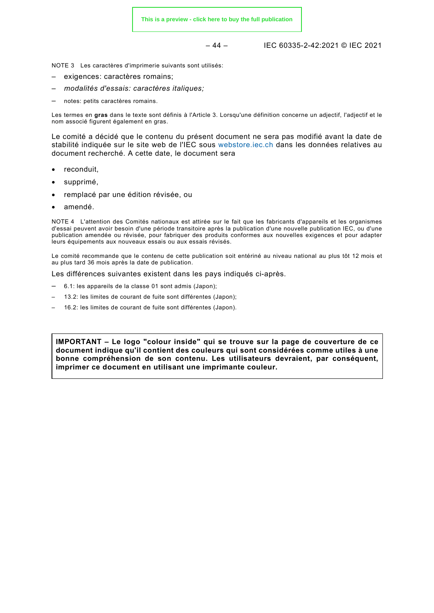– 44 – IEC 60335-2-42:2021 © IEC 2021

NOTE 3 Les caractères d'imprimerie suivants sont utilisés:

- exigences: caractères romains;
- *modalités d'essais: caractères italiques;*
- notes: petits caractères romains.

Les termes en **gras** dans le texte sont définis à l'Article 3. Lorsqu'une définition concerne un adjectif, l'adjectif et le nom associé figurent également en gras.

Le comité a décidé que le contenu du présent document ne sera pas modifié avant la date de stabilité indiquée sur le site web de l'IEC sous [webstore.iec.ch](https://webstore.iec.ch/?ref=menu) dans les données relatives au document recherché. A cette date, le document sera

- reconduit,
- supprimé,
- remplacé par une édition révisée, ou
- amendé.

NOTE 4 L'attention des Comités nationaux est attirée sur le fait que les fabricants d'appareils et les organismes d'essai peuvent avoir besoin d'une période transitoire après la publication d'une nouvelle publication IEC, ou d'une publication amendée ou révisée, pour fabriquer des produits conformes aux nouvelles exigences et pour adapter leurs équipements aux nouveaux essais ou aux essais révisés.

Le comité recommande que le contenu de cette publication soit entériné au niveau national au plus tôt 12 mois et au plus tard 36 mois après la date de publication.

Les différences suivantes existent dans les pays indiqués ci-après.

- 6.1: les appareils de la classe 01 sont admis (Japon);
- 13.2: les limites de courant de fuite sont différentes (Japon);
- 16.2: les limites de courant de fuite sont différentes (Japon).

**IMPORTANT – Le logo "colour inside" qui se trouve sur la page de couverture de ce document indique qu'il contient des couleurs qui sont considérées comme utiles à une bonne compréhension de son contenu. Les utilisateurs devraient, par conséquent, imprimer ce document en utilisant une imprimante couleur.**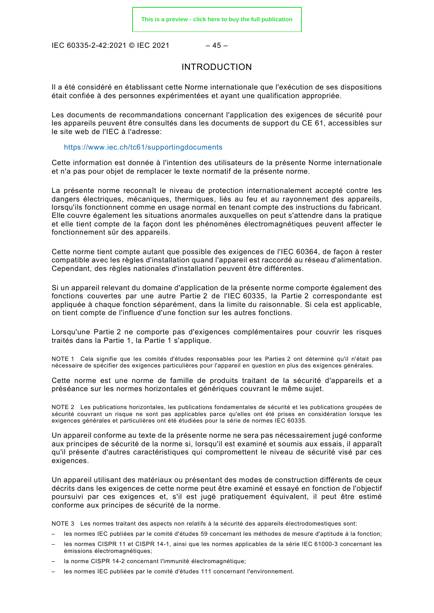<span id="page-14-0"></span>IEC 60335-2-42:2021 © IEC 2021 – 45 –

#### INTRODUCTION

Il a été considéré en établissant cette Norme internationale que l'exécution de ses dispositions était confiée à des personnes expérimentées et ayant une qualification appropriée.

Les documents de recommandations concernant l'application des exigences de sécurité pour les appareils peuvent être consultés dans les documents de support du CE 61, accessibles sur le site web de l'IEC à l'adresse:

#### <https://www.iec.ch/tc61/supportingdocuments>

Cette information est donnée à l'intention des utilisateurs de la présente Norme internationale et n'a pas pour objet de remplacer le texte normatif de la présente norme.

La présente norme reconnaît le niveau de protection internationalement accepté contre les dangers électriques, mécaniques, thermiques, liés au feu et au rayonnement des appareils, lorsqu'ils fonctionnent comme en usage normal en tenant compte des instructions du fabricant. Elle couvre également les situations anormales auxquelles on peut s'attendre dans la pratique et elle tient compte de la façon dont les phénomènes électromagnétiques peuvent affecter le fonctionnement sûr des appareils.

Cette norme tient compte autant que possible des exigences de l'IEC 60364, de façon à rester compatible avec les règles d'installation quand l'appareil est raccordé au réseau d'alimentation. Cependant, des règles nationales d'installation peuvent être différentes.

Si un appareil relevant du domaine d'application de la présente norme comporte également des fonctions couvertes par une autre Partie 2 de l'IEC 60335, la Partie 2 correspondante est appliquée à chaque fonction séparément, dans la limite du raisonnable. Si cela est applicable, on tient compte de l'influence d'une fonction sur les autres fonctions.

Lorsqu'une Partie 2 ne comporte pas d'exigences complémentaires pour couvrir les risques traités dans la Partie 1, la Partie 1 s'applique.

NOTE 1 Cela signifie que les comités d'études responsables pour les Parties 2 ont déterminé qu'il n'était pas nécessaire de spécifier des exigences particulières pour l'appareil en question en plus des exigences générales.

Cette norme est une norme de famille de produits traitant de la sécurité d'appareils et a préséance sur les normes horizontales et génériques couvrant le même sujet.

NOTE 2 Les publications horizontales, les publications fondamentales de sécurité et les publications groupées de sécurité couvrant un risque ne sont pas applicables parce qu'elles ont été prises en considération lorsque les exigences générales et particulières ont été étudiées pour la série de normes IEC 60335.

Un appareil conforme au texte de la présente norme ne sera pas nécessairement jugé conforme aux principes de sécurité de la norme si, lorsqu'il est examiné et soumis aux essais, il apparaît qu'il présente d'autres caractéristiques qui compromettent le niveau de sécurité visé par ces exigences.

Un appareil utilisant des matériaux ou présentant des modes de construction différents de ceux décrits dans les exigences de cette norme peut être examiné et essayé en fonction de l'objectif poursuivi par ces exigences et, s'il est jugé pratiquement équivalent, il peut être estimé conforme aux principes de sécurité de la norme.

NOTE 3 Les normes traitant des aspects non relatifs à la sécurité des appareils électrodomestiques sont:

- les normes IEC publiées par le comité d'études 59 concernant les méthodes de mesure d'aptitude à la fonction;
- les normes CISPR 11 et CISPR 14-1, ainsi que les normes applicables de la série IEC 61000-3 concernant les émissions électromagnétiques;
- la norme CISPR 14-2 concernant l'immunité électromagnétique;
- les normes IEC publiées par le comité d'études 111 concernant l'environnement.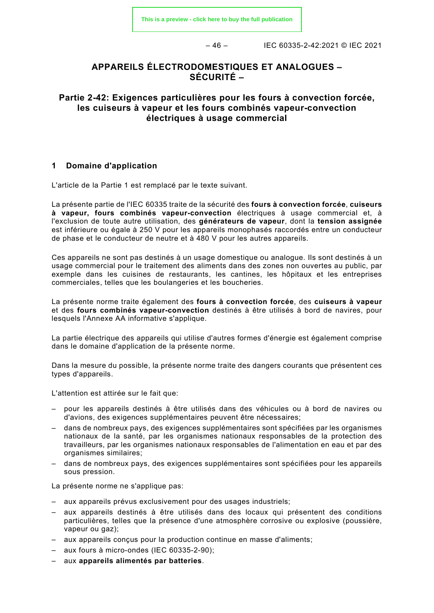$-46 -$  IEC 60335-2-42:2021 © IEC 2021

# **APPAREILS ÉLECTRODOMESTIQUES ET ANALOGUES – SÉCURITÉ –**

**Partie 2-42: Exigences particulières pour les fours à convection forcée, les cuiseurs à vapeur et les fours combinés vapeur-convection électriques à usage commercial**

#### <span id="page-15-0"></span>**1 Domaine d'application**

L'article de la Partie 1 est remplacé par le texte suivant.

La présente partie de l'IEC 60335 traite de la sécurité des **fours à convection forcée**, **cuiseurs à vapeur, fours combinés vapeur-convection** électriques à usage commercial et, à l'exclusion de toute autre utilisation, des **générateurs de vapeur**, dont la **tension assignée** est inférieure ou égale à 250 V pour les appareils monophasés raccordés entre un conducteur de phase et le conducteur de neutre et à 480 V pour les autres appareils.

Ces appareils ne sont pas destinés à un usage domestique ou analogue. Ils sont destinés à un usage commercial pour le traitement des aliments dans des zones non ouvertes au public, par exemple dans les cuisines de restaurants, les cantines, les hôpitaux et les entreprises commerciales, telles que les boulangeries et les boucheries.

La présente norme traite également des **fours à convection forcée**, des **cuiseurs à vapeur** et des **fours combinés vapeur-convection** destinés à être utilisés à bord de navires, pour lesquels l'Annexe AA informative s'applique.

La partie électrique des appareils qui utilise d'autres formes d'énergie est également comprise dans le domaine d'application de la présente norme.

Dans la mesure du possible, la présente norme traite des dangers courants que présentent ces types d'appareils.

L'attention est attirée sur le fait que:

- pour les appareils destinés à être utilisés dans des véhicules ou à bord de navires ou d'avions, des exigences supplémentaires peuvent être nécessaires;
- dans de nombreux pays, des exigences supplémentaires sont spécifiées par les organismes nationaux de la santé, par les organismes nationaux responsables de la protection des travailleurs, par les organismes nationaux responsables de l'alimentation en eau et par des organismes similaires;
- dans de nombreux pays, des exigences supplémentaires sont spécifiées pour les appareils sous pression.

La présente norme ne s'applique pas:

- aux appareils prévus exclusivement pour des usages industriels;
- aux appareils destinés à être utilisés dans des locaux qui présentent des conditions particulières, telles que la présence d'une atmosphère corrosive ou explosive (poussière, vapeur ou gaz);
- aux appareils conçus pour la production continue en masse d'aliments;
- aux fours à micro-ondes (IEC 60335-2-90);
- aux **appareils alimentés par batteries**.